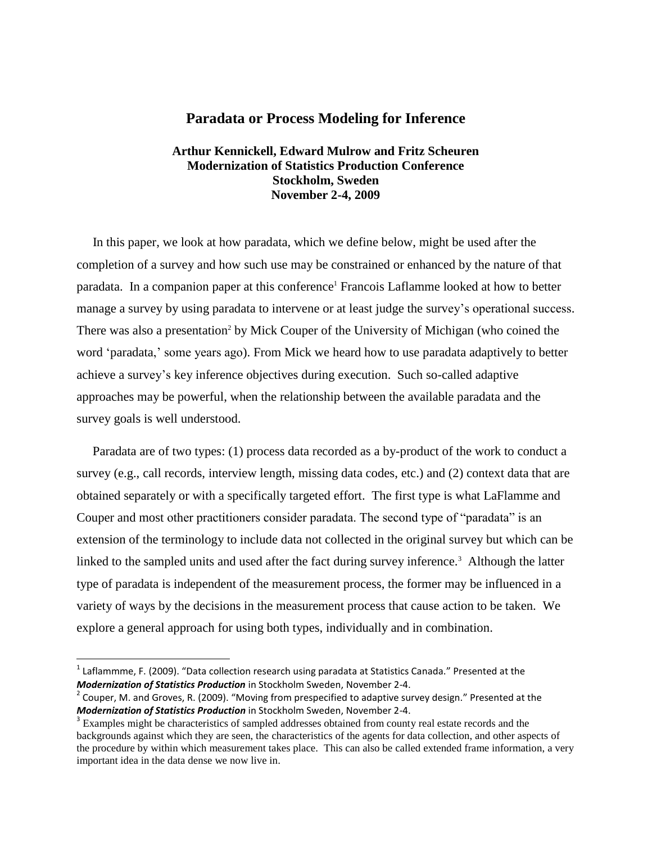## **Paradata or Process Modeling for Inference**

## **Arthur Kennickell, Edward Mulrow and Fritz Scheuren Modernization of Statistics Production Conference Stockholm, Sweden November 2-4, 2009**

 In this paper, we look at how paradata, which we define below, might be used after the completion of a survey and how such use may be constrained or enhanced by the nature of that paradata. In a companion paper at this conference<sup>1</sup> Francois Laflamme looked at how to better manage a survey by using paradata to intervene or at least judge the survey's operational success. There was also a presentation<sup>2</sup> by Mick Couper of the University of Michigan (who coined the word 'paradata,' some years ago). From Mick we heard how to use paradata adaptively to better achieve a survey"s key inference objectives during execution. Such so-called adaptive approaches may be powerful, when the relationship between the available paradata and the survey goals is well understood.

 Paradata are of two types: (1) process data recorded as a by-product of the work to conduct a survey (e.g., call records, interview length, missing data codes, etc.) and (2) context data that are obtained separately or with a specifically targeted effort. The first type is what LaFlamme and Couper and most other practitioners consider paradata. The second type of "paradata" is an extension of the terminology to include data not collected in the original survey but which can be linked to the sampled units and used after the fact during survey inference.<sup>3</sup> Although the latter type of paradata is independent of the measurement process, the former may be influenced in a variety of ways by the decisions in the measurement process that cause action to be taken. We explore a general approach for using both types, individually and in combination.

 $\overline{\phantom{a}}$ 

 $^{1}$  Laflammme, F. (2009). "Data collection research using paradata at Statistics Canada." Presented at the *Modernization of Statistics Production* in Stockholm Sweden, November 2-4.

 $2$  Couper, M. and Groves, R. (2009). "Moving from prespecified to adaptive survey design." Presented at the *Modernization of Statistics Production* in Stockholm Sweden, November 2-4.

<sup>&</sup>lt;sup>3</sup> Examples might be characteristics of sampled addresses obtained from county real estate records and the backgrounds against which they are seen, the characteristics of the agents for data collection, and other aspects of the procedure by within which measurement takes place. This can also be called extended frame information, a very important idea in the data dense we now live in.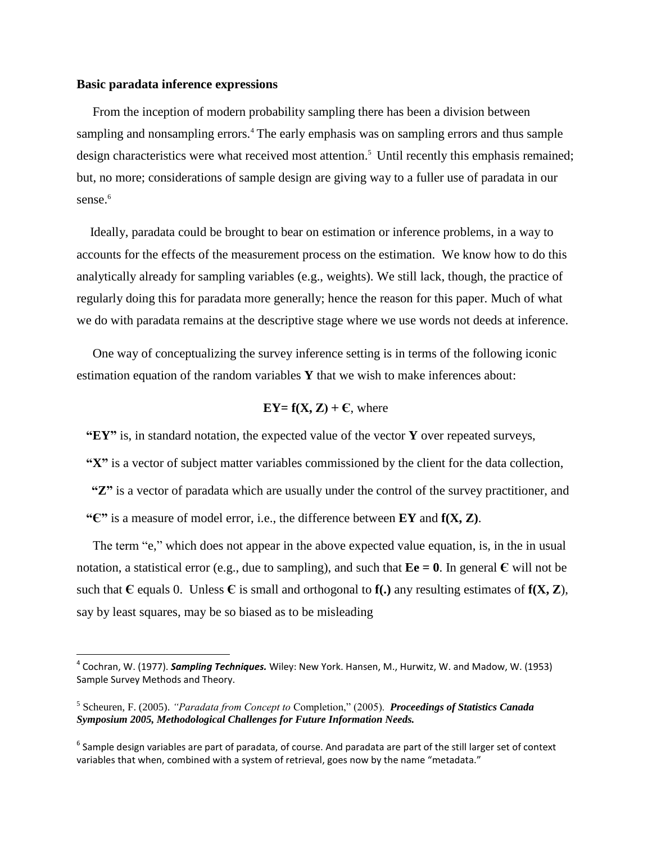## **Basic paradata inference expressions**

 $\overline{a}$ 

 From the inception of modern probability sampling there has been a division between sampling and nonsampling errors.<sup>4</sup> The early emphasis was on sampling errors and thus sample design characteristics were what received most attention. <sup>5</sup> Until recently this emphasis remained; but, no more; considerations of sample design are giving way to a fuller use of paradata in our sense. 6

 Ideally, paradata could be brought to bear on estimation or inference problems, in a way to accounts for the effects of the measurement process on the estimation. We know how to do this analytically already for sampling variables (e.g., weights). We still lack, though, the practice of regularly doing this for paradata more generally; hence the reason for this paper. Much of what we do with paradata remains at the descriptive stage where we use words not deeds at inference.

 One way of conceptualizing the survey inference setting is in terms of the following iconic estimation equation of the random variables **Y** that we wish to make inferences about:

$$
EY = f(X, Z) + C
$$
, where

 **"EY"** is, in standard notation, the expected value of the vector **Y** over repeated surveys,

 **"X"** is a vector of subject matter variables commissioned by the client for the data collection,

**"Z"** is a vector of paradata which are usually under the control of the survey practitioner, and  **"Є"** is a measure of model error, i.e., the difference between **EY** and **f(X, Z)**.

 The term "e," which does not appear in the above expected value equation, is, in the in usual notation, a statistical error (e.g., due to sampling), and such that  $\mathbf{E}\mathbf{e} = \mathbf{0}$ . In general  $\mathbf{\epsilon}$  will not be such that  $\mathbf{C}$  equals 0. Unless  $\mathbf{C}$  is small and orthogonal to  $\mathbf{f}(\cdot)$  any resulting estimates of  $\mathbf{f}(\mathbf{X}, \mathbf{Z})$ , say by least squares, may be so biased as to be misleading

<sup>4</sup> Cochran, W. (1977). *Sampling Techniques.* Wiley: New York. Hansen, M., Hurwitz, W. and Madow, W. (1953) Sample Survey Methods and Theory.

<sup>5</sup> Scheuren, F. (2005). *"Paradata from Concept to* Completion," (2005). *Proceedings of Statistics Canada Symposium 2005, Methodological Challenges for Future Information Needs.*

 $^6$  Sample design variables are part of paradata, of course. And paradata are part of the still larger set of context variables that when, combined with a system of retrieval, goes now by the name "metadata."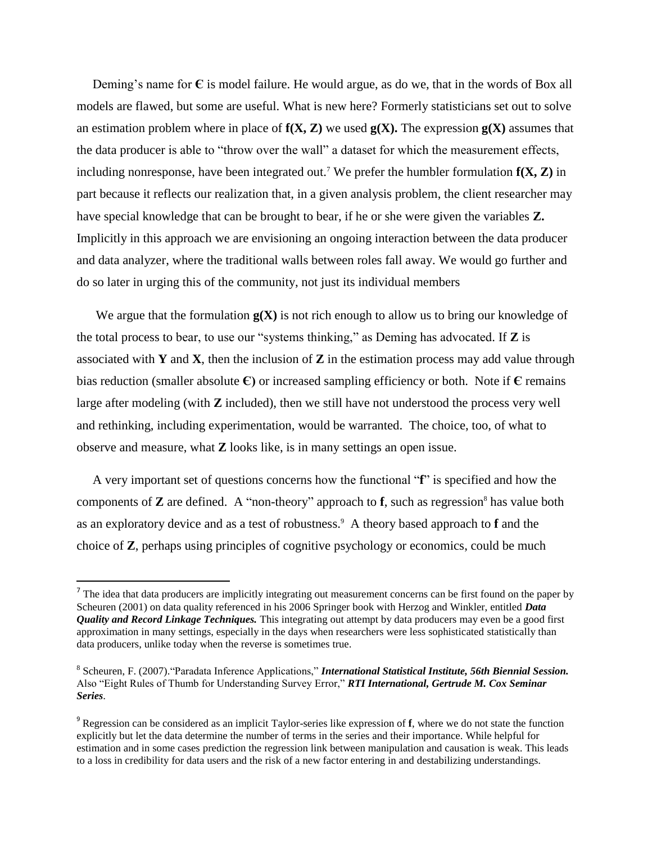Deming"s name for **Є** is model failure. He would argue, as do we, that in the words of Box all models are flawed, but some are useful. What is new here? Formerly statisticians set out to solve an estimation problem where in place of  $f(X, Z)$  we used  $g(X)$ . The expression  $g(X)$  assumes that the data producer is able to "throw over the wall" a dataset for which the measurement effects, including nonresponse, have been integrated out.<sup>7</sup> We prefer the humbler formulation  $f(X, Z)$  in part because it reflects our realization that, in a given analysis problem, the client researcher may have special knowledge that can be brought to bear, if he or she were given the variables **Z.**  Implicitly in this approach we are envisioning an ongoing interaction between the data producer and data analyzer, where the traditional walls between roles fall away. We would go further and do so later in urging this of the community, not just its individual members

We argue that the formulation  $g(X)$  is not rich enough to allow us to bring our knowledge of the total process to bear, to use our "systems thinking," as Deming has advocated. If **Z** is associated with **Y** and **X**, then the inclusion of **Z** in the estimation process may add value through bias reduction (smaller absolute  $\epsilon$ ) or increased sampling efficiency or both. Note if  $\epsilon$  remains large after modeling (with **Z** included), then we still have not understood the process very well and rethinking, including experimentation, would be warranted. The choice, too, of what to observe and measure, what **Z** looks like, is in many settings an open issue.

A very important set of questions concerns how the functional "**f**" is specified and how the components of  $\mathbb Z$  are defined. A "non-theory" approach to  $f$ , such as regression<sup>8</sup> has value both as an exploratory device and as a test of robustness.<sup>9</sup> A theory based approach to **f** and the choice of **Z**, perhaps using principles of cognitive psychology or economics, could be much

 $\overline{\phantom{a}}$ 

 $<sup>7</sup>$  The idea that data producers are implicitly integrating out measurement concerns can be first found on the paper by</sup> Scheuren (2001) on data quality referenced in his 2006 Springer book with Herzog and Winkler, entitled *Data Quality and Record Linkage Techniques.* This integrating out attempt by data producers may even be a good first approximation in many settings, especially in the days when researchers were less sophisticated statistically than data producers, unlike today when the reverse is sometimes true.

<sup>8</sup> Scheuren, F. (2007)."Paradata Inference Applications," *International Statistical Institute, 56th Biennial Session.* Also "Eight Rules of Thumb for Understanding Survey Error," *RTI International, Gertrude M. Cox Seminar Series*.

<sup>9</sup> Regression can be considered as an implicit Taylor-series like expression of **f**, where we do not state the function explicitly but let the data determine the number of terms in the series and their importance. While helpful for estimation and in some cases prediction the regression link between manipulation and causation is weak. This leads to a loss in credibility for data users and the risk of a new factor entering in and destabilizing understandings.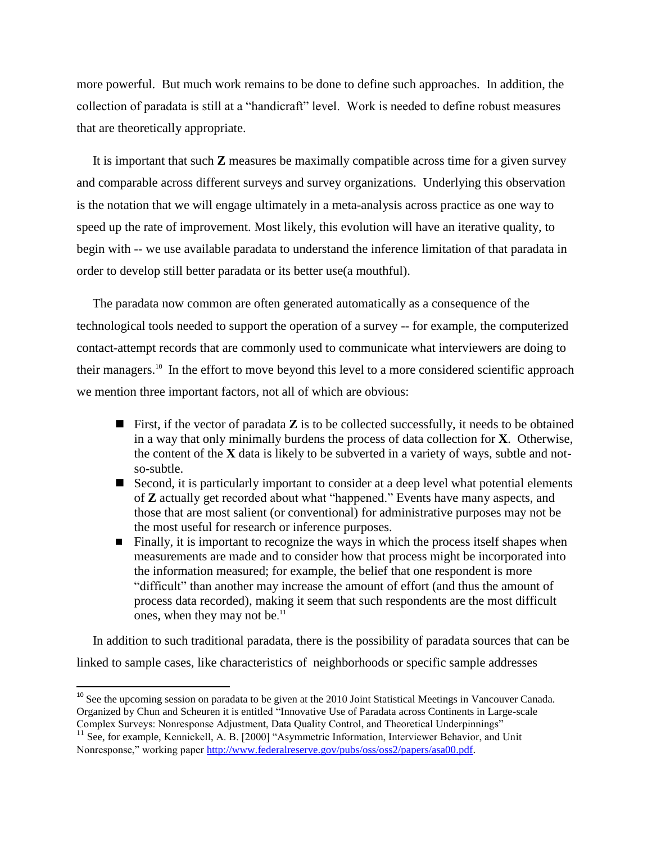more powerful. But much work remains to be done to define such approaches. In addition, the collection of paradata is still at a "handicraft" level. Work is needed to define robust measures that are theoretically appropriate.

 It is important that such **Z** measures be maximally compatible across time for a given survey and comparable across different surveys and survey organizations. Underlying this observation is the notation that we will engage ultimately in a meta-analysis across practice as one way to speed up the rate of improvement. Most likely, this evolution will have an iterative quality, to begin with -- we use available paradata to understand the inference limitation of that paradata in order to develop still better paradata or its better use(a mouthful).

 The paradata now common are often generated automatically as a consequence of the technological tools needed to support the operation of a survey -- for example, the computerized contact-attempt records that are commonly used to communicate what interviewers are doing to their managers.<sup>10</sup> In the effort to move beyond this level to a more considered scientific approach we mention three important factors, not all of which are obvious:

- **First, if the vector of paradata**  $\mathbf{Z}$  **is to be collected successfully, it needs to be obtained** in a way that only minimally burdens the process of data collection for **X**. Otherwise, the content of the **X** data is likely to be subverted in a variety of ways, subtle and notso-subtle.
- Second, it is particularly important to consider at a deep level what potential elements of **Z** actually get recorded about what "happened." Events have many aspects, and those that are most salient (or conventional) for administrative purposes may not be the most useful for research or inference purposes.
- $\blacksquare$  Finally, it is important to recognize the ways in which the process itself shapes when measurements are made and to consider how that process might be incorporated into the information measured; for example, the belief that one respondent is more "difficult" than another may increase the amount of effort (and thus the amount of process data recorded), making it seem that such respondents are the most difficult ones, when they may not be.<sup>11</sup>

 In addition to such traditional paradata, there is the possibility of paradata sources that can be linked to sample cases, like characteristics of neighborhoods or specific sample addresses

l

<sup>&</sup>lt;sup>10</sup> See the upcoming session on paradata to be given at the 2010 Joint Statistical Meetings in Vancouver Canada. Organized by Chun and Scheuren it is entitled "Innovative Use of Paradata across Continents in Large-scale Complex Surveys: Nonresponse Adjustment, Data Quality Control, and Theoretical Underpinnings"

<sup>&</sup>lt;sup>11</sup> See, for example, Kennickell, A. B. [2000] "Asymmetric Information, Interviewer Behavior, and Unit Nonresponse," working paper [http://www.federalreserve.gov/pubs/oss/oss2/papers/asa00.pdf.](http://www.federalreserve.gov/pubs/oss/oss2/papers/asa00.pdf)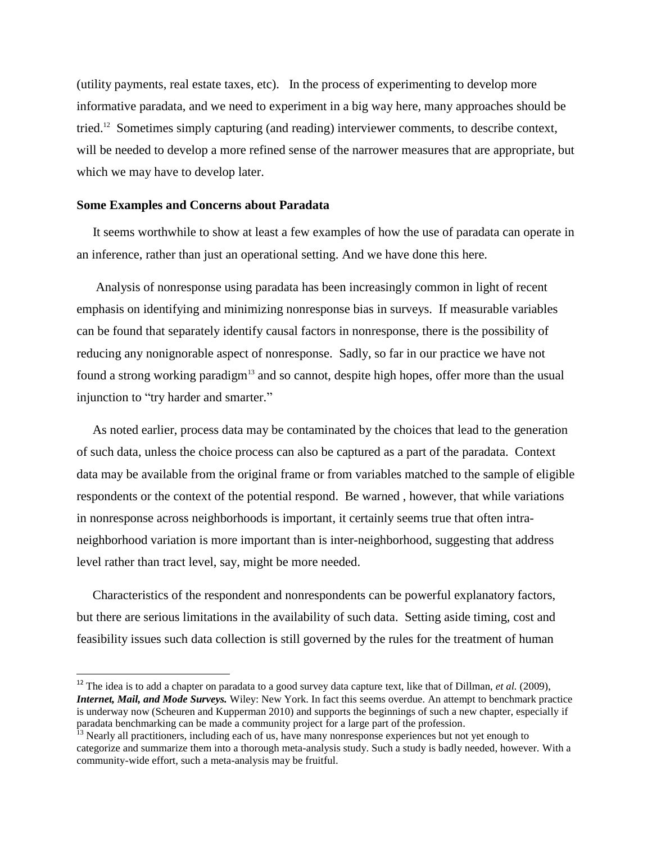(utility payments, real estate taxes, etc). In the process of experimenting to develop more informative paradata, and we need to experiment in a big way here, many approaches should be tried.<sup>12</sup> Sometimes simply capturing (and reading) interviewer comments, to describe context, will be needed to develop a more refined sense of the narrower measures that are appropriate, but which we may have to develop later.

## **Some Examples and Concerns about Paradata**

 $\overline{\phantom{a}}$ 

 It seems worthwhile to show at least a few examples of how the use of paradata can operate in an inference, rather than just an operational setting. And we have done this here.

 Analysis of nonresponse using paradata has been increasingly common in light of recent emphasis on identifying and minimizing nonresponse bias in surveys. If measurable variables can be found that separately identify causal factors in nonresponse, there is the possibility of reducing any nonignorable aspect of nonresponse. Sadly, so far in our practice we have not found a strong working paradigm<sup>13</sup> and so cannot, despite high hopes, offer more than the usual injunction to "try harder and smarter."

 As noted earlier, process data may be contaminated by the choices that lead to the generation of such data, unless the choice process can also be captured as a part of the paradata. Context data may be available from the original frame or from variables matched to the sample of eligible respondents or the context of the potential respond. Be warned , however, that while variations in nonresponse across neighborhoods is important, it certainly seems true that often intraneighborhood variation is more important than is inter-neighborhood, suggesting that address level rather than tract level, say, might be more needed.

 Characteristics of the respondent and nonrespondents can be powerful explanatory factors, but there are serious limitations in the availability of such data. Setting aside timing, cost and feasibility issues such data collection is still governed by the rules for the treatment of human

<sup>12</sup> The idea is to add a chapter on paradata to a good survey data capture text, like that of Dillman, *et al.* (2009), *Internet, Mail, and Mode Surveys.* Wiley: New York. In fact this seems overdue. An attempt to benchmark practice is underway now (Scheuren and Kupperman 2010) and supports the beginnings of such a new chapter, especially if paradata benchmarking can be made a community project for a large part of the profession.

<sup>&</sup>lt;sup>13</sup> Nearly all practitioners, including each of us, have many nonresponse experiences but not yet enough to categorize and summarize them into a thorough meta-analysis study. Such a study is badly needed, however. With a community-wide effort, such a meta-analysis may be fruitful.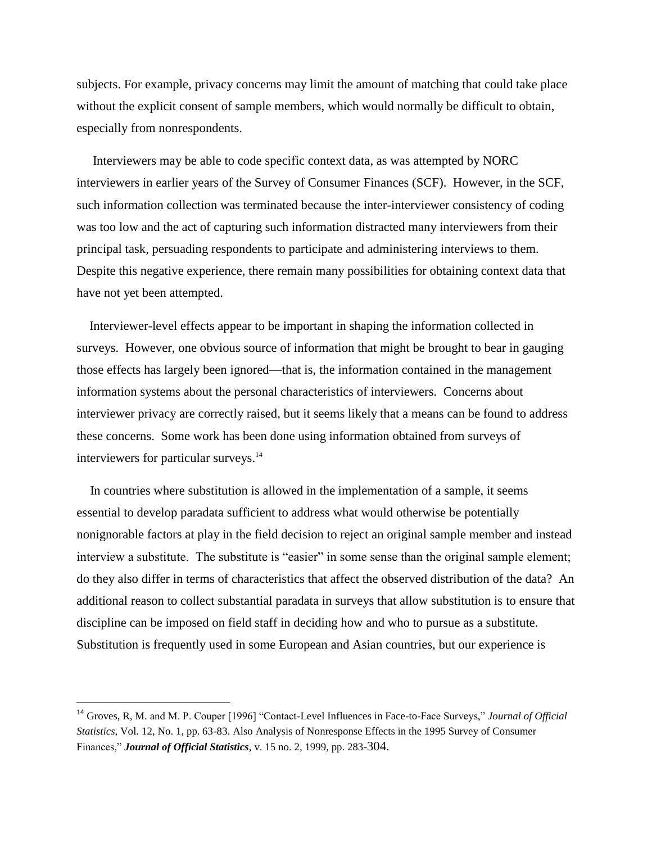subjects. For example, privacy concerns may limit the amount of matching that could take place without the explicit consent of sample members, which would normally be difficult to obtain, especially from nonrespondents.

 Interviewers may be able to code specific context data, as was attempted by NORC interviewers in earlier years of the Survey of Consumer Finances (SCF). However, in the SCF, such information collection was terminated because the inter-interviewer consistency of coding was too low and the act of capturing such information distracted many interviewers from their principal task, persuading respondents to participate and administering interviews to them. Despite this negative experience, there remain many possibilities for obtaining context data that have not yet been attempted.

 Interviewer-level effects appear to be important in shaping the information collected in surveys. However, one obvious source of information that might be brought to bear in gauging those effects has largely been ignored—that is, the information contained in the management information systems about the personal characteristics of interviewers. Concerns about interviewer privacy are correctly raised, but it seems likely that a means can be found to address these concerns. Some work has been done using information obtained from surveys of interviewers for particular surveys. 14

 In countries where substitution is allowed in the implementation of a sample, it seems essential to develop paradata sufficient to address what would otherwise be potentially nonignorable factors at play in the field decision to reject an original sample member and instead interview a substitute. The substitute is "easier" in some sense than the original sample element; do they also differ in terms of characteristics that affect the observed distribution of the data? An additional reason to collect substantial paradata in surveys that allow substitution is to ensure that discipline can be imposed on field staff in deciding how and who to pursue as a substitute. Substitution is frequently used in some European and Asian countries, but our experience is

 $\overline{\phantom{a}}$ 

<sup>14</sup> Groves, R, M. and M. P. Couper [1996] "Contact-Level Influences in Face-to-Face Surveys," *Journal of Official Statistics*, Vol. 12, No. 1, pp. 63-83. Also Analysis of Nonresponse Effects in the 1995 Survey of Consumer Finances," *Journal of Official Statistics*, v. 15 no. 2, 1999, pp. 283-304.